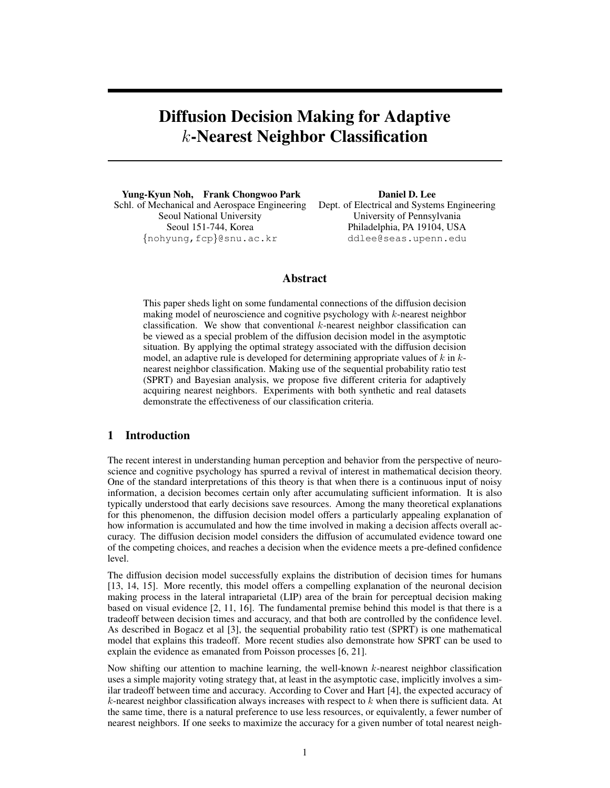# Diffusion Decision Making for Adaptive k-Nearest Neighbor Classification

Yung-Kyun Noh, Frank Chongwoo Park Schl. of Mechanical and Aerospace Engineering Seoul National University Seoul 151-744, Korea {nohyung,fcp}@snu.ac.kr

Daniel D. Lee Dept. of Electrical and Systems Engineering University of Pennsylvania Philadelphia, PA 19104, USA ddlee@seas.upenn.edu

# Abstract

This paper sheds light on some fundamental connections of the diffusion decision making model of neuroscience and cognitive psychology with  $k$ -nearest neighbor classification. We show that conventional  $k$ -nearest neighbor classification can be viewed as a special problem of the diffusion decision model in the asymptotic situation. By applying the optimal strategy associated with the diffusion decision model, an adaptive rule is developed for determining appropriate values of  $k$  in  $k$ nearest neighbor classification. Making use of the sequential probability ratio test (SPRT) and Bayesian analysis, we propose five different criteria for adaptively acquiring nearest neighbors. Experiments with both synthetic and real datasets demonstrate the effectiveness of our classification criteria.

# 1 Introduction

The recent interest in understanding human perception and behavior from the perspective of neuroscience and cognitive psychology has spurred a revival of interest in mathematical decision theory. One of the standard interpretations of this theory is that when there is a continuous input of noisy information, a decision becomes certain only after accumulating sufficient information. It is also typically understood that early decisions save resources. Among the many theoretical explanations for this phenomenon, the diffusion decision model offers a particularly appealing explanation of how information is accumulated and how the time involved in making a decision affects overall accuracy. The diffusion decision model considers the diffusion of accumulated evidence toward one of the competing choices, and reaches a decision when the evidence meets a pre-defined confidence level.

The diffusion decision model successfully explains the distribution of decision times for humans [13, 14, 15]. More recently, this model offers a compelling explanation of the neuronal decision making process in the lateral intraparietal (LIP) area of the brain for perceptual decision making based on visual evidence [2, 11, 16]. The fundamental premise behind this model is that there is a tradeoff between decision times and accuracy, and that both are controlled by the confidence level. As described in Bogacz et al [3], the sequential probability ratio test (SPRT) is one mathematical model that explains this tradeoff. More recent studies also demonstrate how SPRT can be used to explain the evidence as emanated from Poisson processes [6, 21].

Now shifting our attention to machine learning, the well-known  $k$ -nearest neighbor classification uses a simple majority voting strategy that, at least in the asymptotic case, implicitly involves a similar tradeoff between time and accuracy. According to Cover and Hart [4], the expected accuracy of  $k$ -nearest neighbor classification always increases with respect to  $k$  when there is sufficient data. At the same time, there is a natural preference to use less resources, or equivalently, a fewer number of nearest neighbors. If one seeks to maximize the accuracy for a given number of total nearest neigh-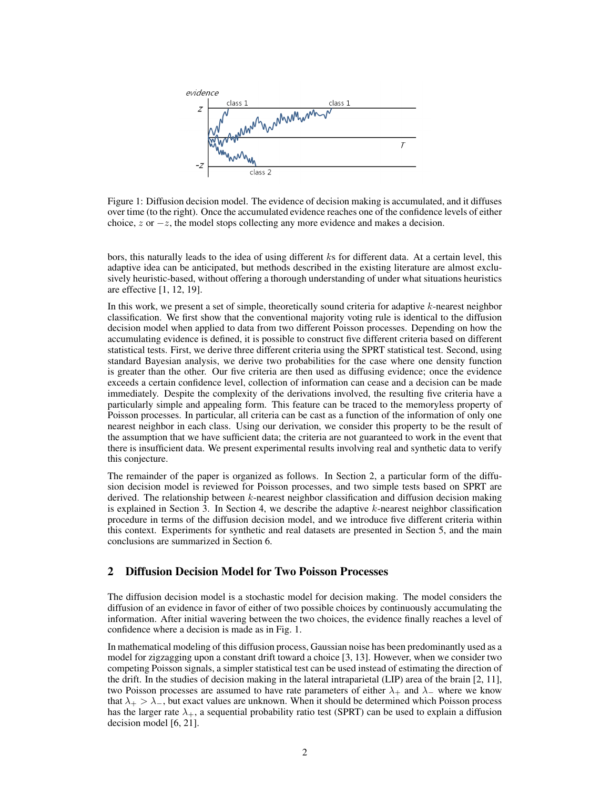

Figure 1: Diffusion decision model. The evidence of decision making is accumulated, and it diffuses over time (to the right). Once the accumulated evidence reaches one of the confidence levels of either choice,  $z$  or  $-z$ , the model stops collecting any more evidence and makes a decision.

bors, this naturally leads to the idea of using different ks for different data. At a certain level, this adaptive idea can be anticipated, but methods described in the existing literature are almost exclusively heuristic-based, without offering a thorough understanding of under what situations heuristics are effective [1, 12, 19].

In this work, we present a set of simple, theoretically sound criteria for adaptive k-nearest neighbor classification. We first show that the conventional majority voting rule is identical to the diffusion decision model when applied to data from two different Poisson processes. Depending on how the accumulating evidence is defined, it is possible to construct five different criteria based on different statistical tests. First, we derive three different criteria using the SPRT statistical test. Second, using standard Bayesian analysis, we derive two probabilities for the case where one density function is greater than the other. Our five criteria are then used as diffusing evidence; once the evidence exceeds a certain confidence level, collection of information can cease and a decision can be made immediately. Despite the complexity of the derivations involved, the resulting five criteria have a particularly simple and appealing form. This feature can be traced to the memoryless property of Poisson processes. In particular, all criteria can be cast as a function of the information of only one nearest neighbor in each class. Using our derivation, we consider this property to be the result of the assumption that we have sufficient data; the criteria are not guaranteed to work in the event that there is insufficient data. We present experimental results involving real and synthetic data to verify this conjecture.

The remainder of the paper is organized as follows. In Section 2, a particular form of the diffusion decision model is reviewed for Poisson processes, and two simple tests based on SPRT are derived. The relationship between k-nearest neighbor classification and diffusion decision making is explained in Section 3. In Section 4, we describe the adaptive  $k$ -nearest neighbor classification procedure in terms of the diffusion decision model, and we introduce five different criteria within this context. Experiments for synthetic and real datasets are presented in Section 5, and the main conclusions are summarized in Section 6.

# 2 Diffusion Decision Model for Two Poisson Processes

The diffusion decision model is a stochastic model for decision making. The model considers the diffusion of an evidence in favor of either of two possible choices by continuously accumulating the information. After initial wavering between the two choices, the evidence finally reaches a level of confidence where a decision is made as in Fig. 1.

In mathematical modeling of this diffusion process, Gaussian noise has been predominantly used as a model for zigzagging upon a constant drift toward a choice [3, 13]. However, when we consider two competing Poisson signals, a simpler statistical test can be used instead of estimating the direction of the drift. In the studies of decision making in the lateral intraparietal (LIP) area of the brain [2, 11], two Poisson processes are assumed to have rate parameters of either  $\lambda_+$  and  $\lambda_-$  where we know that  $\lambda_+ > \lambda_-$ , but exact values are unknown. When it should be determined which Poisson process has the larger rate  $\lambda_{+}$ , a sequential probability ratio test (SPRT) can be used to explain a diffusion decision model [6, 21].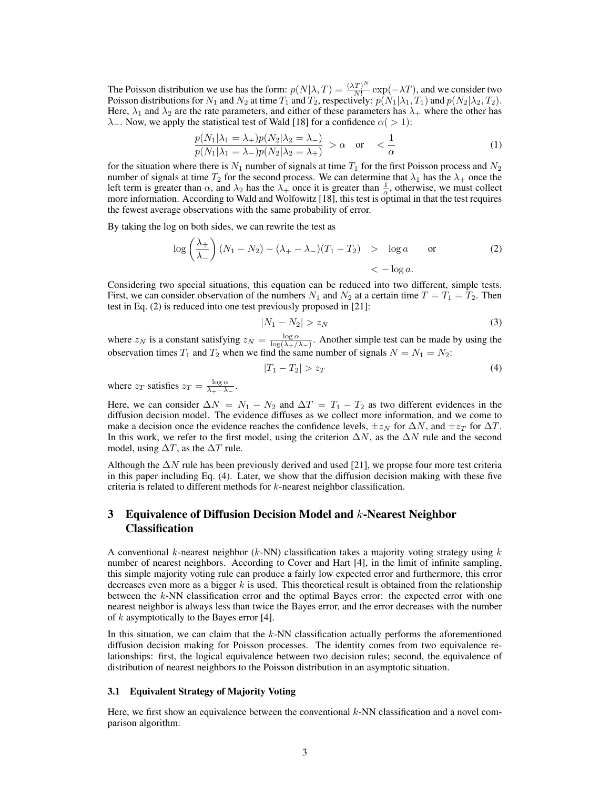The Poisson distribution we use has the form:  $p(N|\lambda, T) = \frac{(\lambda T)^N}{N!}$  $\frac{dI}{N!}$  exp( $-\lambda T$ ), and we consider two Poisson distributions for  $N_1$  and  $N_2$  at time  $T_1$  and  $T_2$ , respectively:  $p(N_1|\lambda_1, T_1)$  and  $p(N_2|\lambda_2, T_2)$ . Here,  $\lambda_1$  and  $\lambda_2$  are the rate parameters, and either of these parameters has  $\lambda_+$  where the other has  $\lambda$ <sub>−</sub>. Now, we apply the statistical test of Wald [18] for a confidence  $\alpha$ ( > 1):

$$
\frac{p(N_1|\lambda_1 = \lambda_+)p(N_2|\lambda_2 = \lambda_-)}{p(N_1|\lambda_1 = \lambda_-)p(N_2|\lambda_2 = \lambda_+)} > \alpha \quad \text{or} \quad < \frac{1}{\alpha} \tag{1}
$$

for the situation where there is  $N_1$  number of signals at time  $T_1$  for the first Poisson process and  $N_2$ number of signals at time  $T_2$  for the second process. We can determine that  $\lambda_1$  has the  $\lambda_+$  once the left term is greater than  $\alpha$ , and  $\lambda_2$  has the  $\lambda_+$  once it is greater than  $\frac{1}{\alpha}$ , otherwise, we must collect more information. According to Wald and Wolfowitz [18], this test is optimal in that the test requires the fewest average observations with the same probability of error.

By taking the log on both sides, we can rewrite the test as

$$
\log\left(\frac{\lambda_+}{\lambda_-}\right)(N_1 - N_2) - (\lambda_+ - \lambda_-)(T_1 - T_2) > \log a \qquad \text{or} \qquad (2)
$$
  

$$
< -\log a.
$$

Considering two special situations, this equation can be reduced into two different, simple tests. First, we can consider observation of the numbers  $N_1$  and  $N_2$  at a certain time  $T = T_1 = T_2$ . Then test in Eq. (2) is reduced into one test previously proposed in [21]:

$$
|N_1 - N_2| > z_N \tag{3}
$$

where  $z_N$  is a constant satisfying  $z_N = \frac{\log \alpha}{\log(\lambda_+/\lambda_-)}$ . Another simple test can be made by using the observation times  $T_1$  and  $T_2$  when we find the same number of signals  $N = N_1 = N_2$ :

$$
|T_1 - T_2| > z_T \tag{4}
$$

where  $z_T$  satisfies  $z_T = \frac{\log \alpha}{\lambda_+ - \lambda_-}$ .

Here, we can consider  $\Delta N = N_1 - N_2$  and  $\Delta T = T_1 - T_2$  as two different evidences in the diffusion decision model. The evidence diffuses as we collect more information, and we come to make a decision once the evidence reaches the confidence levels,  $\pm z_N$  for  $\Delta N$ , and  $\pm z_T$  for  $\Delta T$ . In this work, we refer to the first model, using the criterion  $\Delta N$ , as the  $\Delta N$  rule and the second model, using  $\Delta T$ , as the  $\Delta T$  rule.

Although the  $\Delta N$  rule has been previously derived and used [21], we propse four more test criteria in this paper including Eq. (4). Later, we show that the diffusion decision making with these five criteria is related to different methods for k-nearest neighbor classification.

# 3 Equivalence of Diffusion Decision Model and  $k$ -Nearest Neighbor Classification

A conventional k-nearest neighbor (k-NN) classification takes a majority voting strategy using  $k$ number of nearest neighbors. According to Cover and Hart [4], in the limit of infinite sampling, this simple majority voting rule can produce a fairly low expected error and furthermore, this error decreases even more as a bigger  $k$  is used. This theoretical result is obtained from the relationship between the  $k$ -NN classification error and the optimal Bayes error: the expected error with one nearest neighbor is always less than twice the Bayes error, and the error decreases with the number of  $k$  asymptotically to the Bayes error [4].

In this situation, we can claim that the  $k$ -NN classification actually performs the aforementioned diffusion decision making for Poisson processes. The identity comes from two equivalence relationships: first, the logical equivalence between two decision rules; second, the equivalence of distribution of nearest neighbors to the Poisson distribution in an asymptotic situation.

#### 3.1 Equivalent Strategy of Majority Voting

Here, we first show an equivalence between the conventional  $k$ -NN classification and a novel comparison algorithm: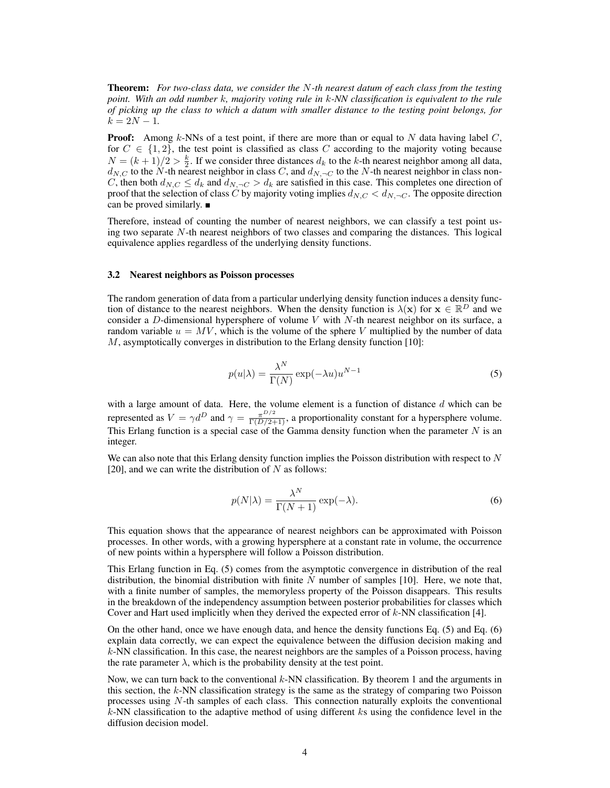Theorem: *For two-class data, we consider the* N*-th nearest datum of each class from the testing point. With an odd number* k*, majority voting rule in* k*-NN classification is equivalent to the rule of picking up the class to which a datum with smaller distance to the testing point belongs, for*  $k = 2N - 1$ .

**Proof:** Among k-NNs of a test point, if there are more than or equal to N data having label  $C$ , for  $C \in \{1, 2\}$ , the test point is classified as class C according to the majority voting because  $N = (k+1)/2 > \frac{k}{2}$ . If we consider three distances  $d_k$  to the k-th nearest neighbor among all data,  $d_{N,C}$  to the N-th nearest neighbor in class C, and  $d_{N,-C}$  to the N-th nearest neighbor in class non-C, then both  $d_{N,C} \leq d_k$  and  $d_{N,\neg C} > d_k$  are satisfied in this case. This completes one direction of proof that the selection of class C by majority voting implies  $d_{N,C} < d_{N,-C}$ . The opposite direction can be proved similarly.  $\blacksquare$ 

Therefore, instead of counting the number of nearest neighbors, we can classify a test point using two separate  $N$ -th nearest neighbors of two classes and comparing the distances. This logical equivalence applies regardless of the underlying density functions.

#### 3.2 Nearest neighbors as Poisson processes

The random generation of data from a particular underlying density function induces a density function of distance to the nearest neighbors. When the density function is  $\lambda(\mathbf{x})$  for  $\mathbf{x} \in \mathbb{R}^D$  and we consider a  $D$ -dimensional hypersphere of volume  $V$  with  $N$ -th nearest neighbor on its surface, a random variable  $u = MV$ , which is the volume of the sphere V multiplied by the number of data M, asymptotically converges in distribution to the Erlang density function [10]:

$$
p(u|\lambda) = \frac{\lambda^N}{\Gamma(N)} \exp(-\lambda u) u^{N-1}
$$
 (5)

with a large amount of data. Here, the volume element is a function of distance  $d$  which can be represented as  $V = \gamma d^D$  and  $\gamma = \frac{\pi^{D/2}}{\Gamma(D/2+1)}$ , a proportionality constant for a hypersphere volume. This Erlang function is a special case of the Gamma density function when the parameter  $N$  is an integer.

We can also note that this Erlang density function implies the Poisson distribution with respect to  $N$ [20], and we can write the distribution of  $N$  as follows:

$$
p(N|\lambda) = \frac{\lambda^N}{\Gamma(N+1)} \exp(-\lambda).
$$
 (6)

This equation shows that the appearance of nearest neighbors can be approximated with Poisson processes. In other words, with a growing hypersphere at a constant rate in volume, the occurrence of new points within a hypersphere will follow a Poisson distribution.

This Erlang function in Eq. (5) comes from the asymptotic convergence in distribution of the real distribution, the binomial distribution with finite  $N$  number of samples [10]. Here, we note that, with a finite number of samples, the memoryless property of the Poisson disappears. This results in the breakdown of the independency assumption between posterior probabilities for classes which Cover and Hart used implicitly when they derived the expected error of  $k$ -NN classification [4].

On the other hand, once we have enough data, and hence the density functions Eq. (5) and Eq. (6) explain data correctly, we can expect the equivalence between the diffusion decision making and k-NN classification. In this case, the nearest neighbors are the samples of a Poisson process, having the rate parameter  $\lambda$ , which is the probability density at the test point.

Now, we can turn back to the conventional  $k$ -NN classification. By theorem 1 and the arguments in this section, the  $k$ -NN classification strategy is the same as the strategy of comparing two Poisson processes using N-th samples of each class. This connection naturally exploits the conventional  $k$ -NN classification to the adaptive method of using different  $k$ s using the confidence level in the diffusion decision model.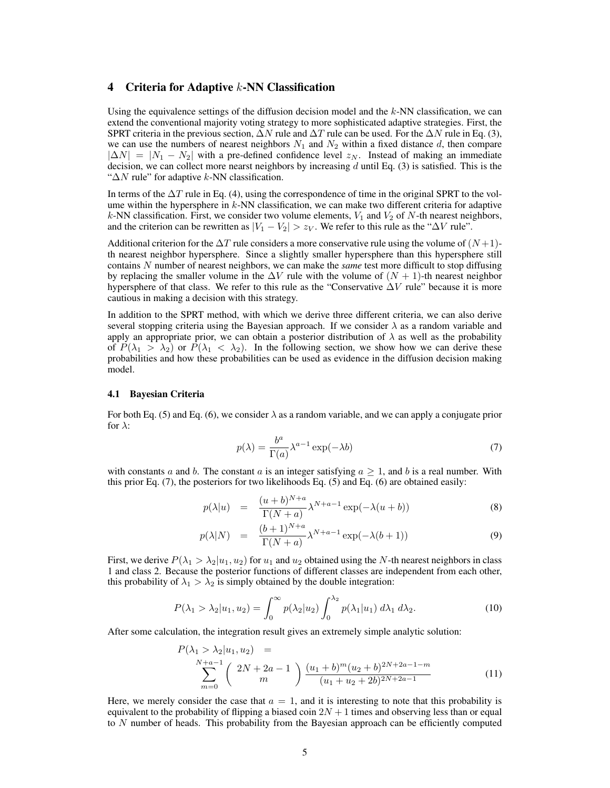## 4 Criteria for Adaptive  $k$ -NN Classification

Using the equivalence settings of the diffusion decision model and the  $k$ -NN classification, we can extend the conventional majority voting strategy to more sophisticated adaptive strategies. First, the SPRT criteria in the previous section,  $\Delta N$  rule and  $\Delta T$  rule can be used. For the  $\Delta N$  rule in Eq. (3), we can use the numbers of nearest neighbors  $N_1$  and  $N_2$  within a fixed distance d, then compare  $|\Delta N| = |N_1 - N_2|$  with a pre-defined confidence level  $z_N$ . Instead of making an immediate decision, we can collect more nearst neighbors by increasing  $d$  until Eq. (3) is satisfied. This is the " $\Delta N$  rule" for adaptive k-NN classification.

In terms of the  $\Delta T$  rule in Eq. (4), using the correspondence of time in the original SPRT to the volume within the hypersphere in  $k$ -NN classification, we can make two different criteria for adaptive k-NN classification. First, we consider two volume elements,  $V_1$  and  $V_2$  of N-th nearest neighbors, and the criterion can be rewritten as  $|V_1 - V_2| > z_V$ . We refer to this rule as the " $\Delta V$  rule".

Additional criterion for the  $\Delta T$  rule considers a more conservative rule using the volume of  $(N+1)$ th nearest neighbor hypersphere. Since a slightly smaller hypersphere than this hypersphere still contains N number of nearest neighbors, we can make the *same* test more difficult to stop diffusing by replacing the smaller volume in the  $\Delta V$  rule with the volume of  $(N + 1)$ -th nearest neighbor hypersphere of that class. We refer to this rule as the "Conservative  $\Delta V$  rule" because it is more cautious in making a decision with this strategy.

In addition to the SPRT method, with which we derive three different criteria, we can also derive several stopping criteria using the Bayesian approach. If we consider  $\lambda$  as a random variable and apply an appropriate prior, we can obtain a posterior distribution of  $\lambda$  as well as the probability of  $P(\lambda_1 > \lambda_2)$  or  $P(\lambda_1 < \lambda_2)$ . In the following section, we show how we can derive these probabilities and how these probabilities can be used as evidence in the diffusion decision making model.

### 4.1 Bayesian Criteria

For both Eq. (5) and Eq. (6), we consider  $\lambda$  as a random variable, and we can apply a conjugate prior for  $\lambda$ :

$$
p(\lambda) = \frac{b^a}{\Gamma(a)} \lambda^{a-1} \exp(-\lambda b)
$$
 (7)

with constants a and b. The constant a is an integer satisfying  $a \ge 1$ , and b is a real number. With this prior Eq. (7), the posteriors for two likelihoods Eq. (5) and Eq. (6) are obtained easily:

$$
p(\lambda|u) = \frac{(u+b)^{N+a}}{\Gamma(N+a)} \lambda^{N+a-1} \exp(-\lambda(u+b)) \tag{8}
$$

$$
p(\lambda|N) = \frac{(b+1)^{N+a}}{\Gamma(N+a)} \lambda^{N+a-1} \exp(-\lambda(b+1)) \tag{9}
$$

First, we derive  $P(\lambda_1 > \lambda_2 | u_1, u_2)$  for  $u_1$  and  $u_2$  obtained using the N-th nearest neighbors in class 1 and class 2. Because the posterior functions of different classes are independent from each other, this probability of  $\lambda_1 > \lambda_2$  is simply obtained by the double integration:

$$
P(\lambda_1 > \lambda_2 | u_1, u_2) = \int_0^\infty p(\lambda_2 | u_2) \int_0^{\lambda_2} p(\lambda_1 | u_1) d\lambda_1 d\lambda_2.
$$
 (10)

After some calculation, the integration result gives an extremely simple analytic solution:

$$
P(\lambda_1 > \lambda_2 | u_1, u_2) =
$$
  

$$
\sum_{m=0}^{N+a-1} {2N+2a-1 \choose m} \frac{(u_1+b)^m (u_2+b)^{2N+2a-1-m}}{(u_1+u_2+2b)^{2N+2a-1}}
$$
 (11)

Here, we merely consider the case that  $a = 1$ , and it is interesting to note that this probability is equivalent to the probability of flipping a biased coin  $2N + 1$  times and observing less than or equal to  $N$  number of heads. This probability from the Bayesian approach can be efficiently computed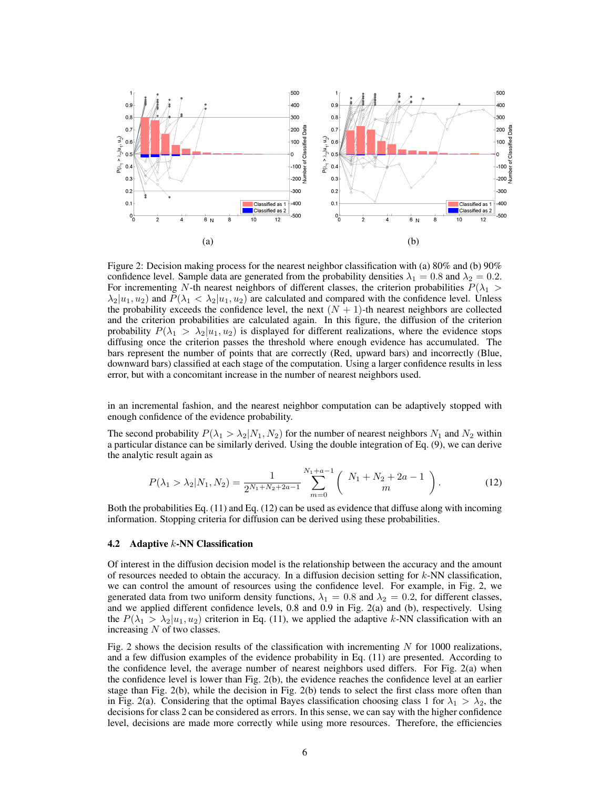

Figure 2: Decision making process for the nearest neighbor classification with (a) 80% and (b) 90% confidence level. Sample data are generated from the probability densities  $\lambda_1 = 0.8$  and  $\lambda_2 = 0.2$ . For incrementing N-th nearest neighbors of different classes, the criterion probabilities  $P(\lambda_1 >$  $\lambda_2|u_1, u_2|$  and  $P(\lambda_1 < \lambda_2|u_1, u_2)$  are calculated and compared with the confidence level. Unless the probability exceeds the confidence level, the next  $(N + 1)$ -th nearest neighbors are collected and the criterion probabilities are calculated again. In this figure, the diffusion of the criterion probability  $P(\lambda_1 > \lambda_2 | u_1, u_2)$  is displayed for different realizations, where the evidence stops diffusing once the criterion passes the threshold where enough evidence has accumulated. The bars represent the number of points that are correctly (Red, upward bars) and incorrectly (Blue, downward bars) classified at each stage of the computation. Using a larger confidence results in less error, but with a concomitant increase in the number of nearest neighbors used.

in an incremental fashion, and the nearest neighbor computation can be adaptively stopped with enough confidence of the evidence probability.

The second probability  $P(\lambda_1 > \lambda_2 | N_1, N_2)$  for the number of nearest neighbors  $N_1$  and  $N_2$  within a particular distance can be similarly derived. Using the double integration of Eq. (9), we can derive the analytic result again as

$$
P(\lambda_1 > \lambda_2 | N_1, N_2) = \frac{1}{2^{N_1 + N_2 + 2a - 1}} \sum_{m=0}^{N_1 + a - 1} \binom{N_1 + N_2 + 2a - 1}{m}.
$$
 (12)

Both the probabilities Eq. (11) and Eq. (12) can be used as evidence that diffuse along with incoming information. Stopping criteria for diffusion can be derived using these probabilities.

#### 4.2 Adaptive  $k$ -NN Classification

Of interest in the diffusion decision model is the relationship between the accuracy and the amount of resources needed to obtain the accuracy. In a diffusion decision setting for k-NN classification, we can control the amount of resources using the confidence level. For example, in Fig. 2, we generated data from two uniform density functions,  $\lambda_1 = 0.8$  and  $\lambda_2 = 0.2$ , for different classes, and we applied different confidence levels, 0.8 and 0.9 in Fig. 2(a) and (b), respectively. Using the  $P(\lambda_1 > \lambda_2 | u_1, u_2)$  criterion in Eq. (11), we applied the adaptive k-NN classification with an increasing  $N$  of two classes.

Fig. 2 shows the decision results of the classification with incrementing  $N$  for 1000 realizations, and a few diffusion examples of the evidence probability in Eq. (11) are presented. According to the confidence level, the average number of nearest neighbors used differs. For Fig. 2(a) when the confidence level is lower than Fig. 2(b), the evidence reaches the confidence level at an earlier stage than Fig. 2(b), while the decision in Fig. 2(b) tends to select the first class more often than in Fig. 2(a). Considering that the optimal Bayes classification choosing class 1 for  $\lambda_1 > \lambda_2$ , the decisions for class 2 can be considered as errors. In this sense, we can say with the higher confidence level, decisions are made more correctly while using more resources. Therefore, the efficiencies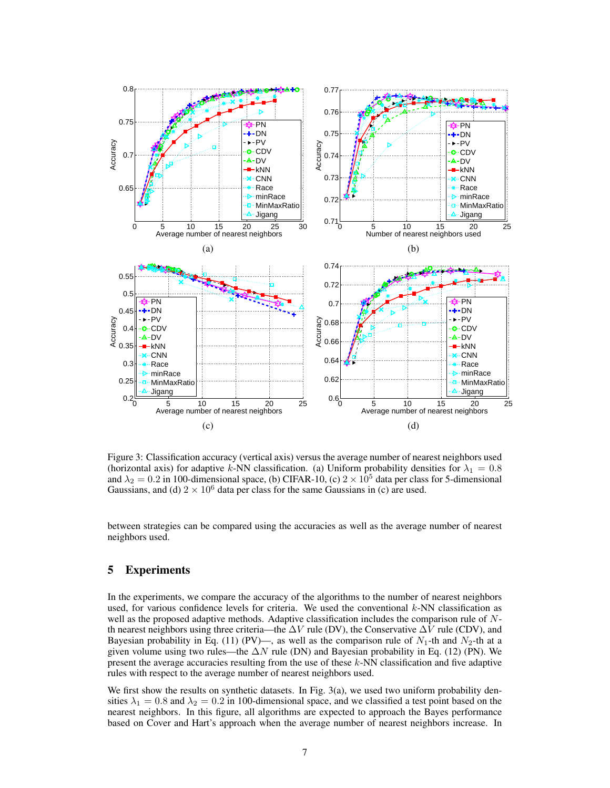

Figure 3: Classification accuracy (vertical axis) versus the average number of nearest neighbors used (horizontal axis) for adaptive k-NN classification. (a) Uniform probability densities for  $\lambda_1 = 0.8$ and  $\lambda_2 = 0.2$  in 100-dimensional space, (b) CIFAR-10, (c)  $2 \times 10^5$  data per class for 5-dimensional Gaussians, and (d)  $2 \times 10^6$  data per class for the same Gaussians in (c) are used.

between strategies can be compared using the accuracies as well as the average number of nearest neighbors used.

# 5 Experiments

In the experiments, we compare the accuracy of the algorithms to the number of nearest neighbors used, for various confidence levels for criteria. We used the conventional  $k$ -NN classification as well as the proposed adaptive methods. Adaptive classification includes the comparison rule of Nth nearest neighbors using three criteria—the  $\Delta V$  rule (DV), the Conservative  $\Delta V$  rule (CDV), and Bayesian probability in Eq. (11) (PV)—, as well as the comparison rule of  $N_1$ -th and  $N_2$ -th at a given volume using two rules—the  $\Delta N$  rule (DN) and Bayesian probability in Eq. (12) (PN). We present the average accuracies resulting from the use of these  $k$ -NN classification and five adaptive rules with respect to the average number of nearest neighbors used.

We first show the results on synthetic datasets. In Fig.  $3(a)$ , we used two uniform probability densities  $\lambda_1 = 0.8$  and  $\lambda_2 = 0.2$  in 100-dimensional space, and we classified a test point based on the nearest neighbors. In this figure, all algorithms are expected to approach the Bayes performance based on Cover and Hart's approach when the average number of nearest neighbors increase. In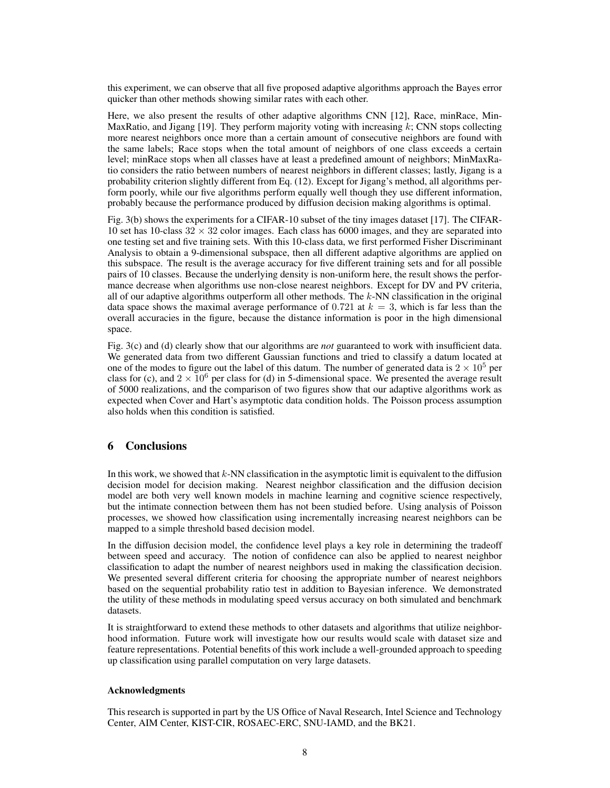this experiment, we can observe that all five proposed adaptive algorithms approach the Bayes error quicker than other methods showing similar rates with each other.

Here, we also present the results of other adaptive algorithms CNN [12], Race, minRace, Min-MaxRatio, and Jigang  $[19]$ . They perform majority voting with increasing  $k$ ; CNN stops collecting more nearest neighbors once more than a certain amount of consecutive neighbors are found with the same labels; Race stops when the total amount of neighbors of one class exceeds a certain level; minRace stops when all classes have at least a predefined amount of neighbors; MinMaxRatio considers the ratio between numbers of nearest neighbors in different classes; lastly, Jigang is a probability criterion slightly different from Eq. (12). Except for Jigang's method, all algorithms perform poorly, while our five algorithms perform equally well though they use different information, probably because the performance produced by diffusion decision making algorithms is optimal.

Fig. 3(b) shows the experiments for a CIFAR-10 subset of the tiny images dataset [17]. The CIFAR-10 set has 10-class  $32 \times 32$  color images. Each class has 6000 images, and they are separated into one testing set and five training sets. With this 10-class data, we first performed Fisher Discriminant Analysis to obtain a 9-dimensional subspace, then all different adaptive algorithms are applied on this subspace. The result is the average accuracy for five different training sets and for all possible pairs of 10 classes. Because the underlying density is non-uniform here, the result shows the performance decrease when algorithms use non-close nearest neighbors. Except for DV and PV criteria, all of our adaptive algorithms outperform all other methods. The  $k$ -NN classification in the original data space shows the maximal average performance of 0.721 at  $k = 3$ , which is far less than the overall accuracies in the figure, because the distance information is poor in the high dimensional space.

Fig. 3(c) and (d) clearly show that our algorithms are *not* guaranteed to work with insufficient data. We generated data from two different Gaussian functions and tried to classify a datum located at one of the modes to figure out the label of this datum. The number of generated data is  $2 \times 10^5$  per class for (c), and  $2 \times 10^6$  per class for (d) in 5-dimensional space. We presented the average result of 5000 realizations, and the comparison of two figures show that our adaptive algorithms work as expected when Cover and Hart's asymptotic data condition holds. The Poisson process assumption also holds when this condition is satisfied.

# 6 Conclusions

In this work, we showed that k-NN classification in the asymptotic limit is equivalent to the diffusion decision model for decision making. Nearest neighbor classification and the diffusion decision model are both very well known models in machine learning and cognitive science respectively, but the intimate connection between them has not been studied before. Using analysis of Poisson processes, we showed how classification using incrementally increasing nearest neighbors can be mapped to a simple threshold based decision model.

In the diffusion decision model, the confidence level plays a key role in determining the tradeoff between speed and accuracy. The notion of confidence can also be applied to nearest neighbor classification to adapt the number of nearest neighbors used in making the classification decision. We presented several different criteria for choosing the appropriate number of nearest neighbors based on the sequential probability ratio test in addition to Bayesian inference. We demonstrated the utility of these methods in modulating speed versus accuracy on both simulated and benchmark datasets.

It is straightforward to extend these methods to other datasets and algorithms that utilize neighborhood information. Future work will investigate how our results would scale with dataset size and feature representations. Potential benefits of this work include a well-grounded approach to speeding up classification using parallel computation on very large datasets.

## Acknowledgments

This research is supported in part by the US Office of Naval Research, Intel Science and Technology Center, AIM Center, KIST-CIR, ROSAEC-ERC, SNU-IAMD, and the BK21.